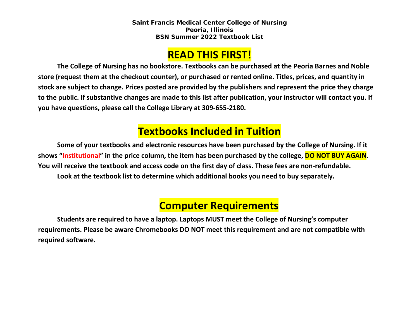**Saint Francis Medical Center College of Nursing Peoria, Illinois BSN Summer 2022 Textbook List**

### **READ THIS FIRST!**

**The College of Nursing has no bookstore. Textbooks can be purchased at the Peoria Barnes and Noble store (request them at the checkout counter), or purchased or rented online. Titles, prices, and quantity in stock are subject to change. Prices posted are provided by the publishers and represent the price they charge to the public. If substantive changes are made to this list after publication, your instructor will contact you. If you have questions, please call the College Library at 309-655-2180.**

## **Textbooks Included in Tuition**

**Some of your textbooks and electronic resources have been purchased by the College of Nursing. If it shows "Institutional" in the price column, the item has been purchased by the college, DO NOT BUY AGAIN. You will receive the textbook and access code on the first day of class. These fees are non-refundable. Look at the textbook list to determine which additional books you need to buy separately.**

# **Computer Requirements**

**Students are required to have a laptop. Laptops MUST meet the College of Nursing's computer requirements. Please be aware Chromebooks DO NOT meet this requirement and are not compatible with required software.**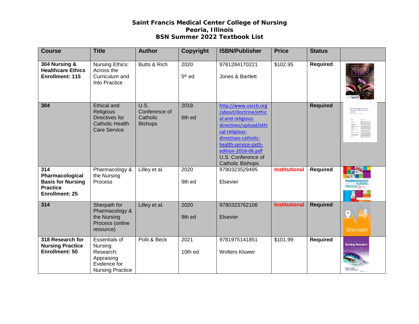### **Saint Francis Medical Center College of Nursing Peoria, Illinois BSN Summer 2022 Textbook List**

| <b>Course</b>                                                                                  | <b>Title</b>                                                                                          | <b>Author</b>                                              | Copyright                  | <b>ISBN/Publisher</b>                                                                                                                                                                                                                   | <b>Price</b>         | <b>Status</b>   |                                                                             |
|------------------------------------------------------------------------------------------------|-------------------------------------------------------------------------------------------------------|------------------------------------------------------------|----------------------------|-----------------------------------------------------------------------------------------------------------------------------------------------------------------------------------------------------------------------------------------|----------------------|-----------------|-----------------------------------------------------------------------------|
| 304 Nursing &<br><b>Healthcare Ethics</b><br>Enrollment: 115                                   | <b>Nursing Ethics:</b><br>Across the<br>Curriculum and<br>Into Practice                               | Butts & Rich                                               | 2020<br>5 <sup>th</sup> ed | 9781284170221<br>Jones & Bartlett                                                                                                                                                                                                       | \$102.95             | <b>Required</b> | NURSING<br>ETHICS                                                           |
| 304                                                                                            | <b>Ethical and</b><br>Religious<br>Directives for<br><b>Catholic Health</b><br><b>Care Service</b>    | <b>U.S.</b><br>Conference of<br>Catholic<br><b>Bishops</b> | 2018<br>6th ed             | http://www.usccb.org<br>/about/doctrine/ethic<br>al-and-religious-<br>directives/upload/ethi<br>cal-religious-<br>directives-catholic-<br>health-service-sixth-<br>edition-2016-06.pdf<br>U.S. Conference of<br><b>Catholic Bishops</b> |                      | <b>Required</b> | <b>Ethical and Religious Directions</b><br>for Cathetic Health Cate Service |
| 314<br>Pharmacological<br><b>Basis for Nursing</b><br><b>Practice</b><br><b>Enrollment: 25</b> | Pharmacology &<br>the Nursing<br>Process                                                              | Lilley et al.                                              | 2020<br>9th ed             | 9780323529495<br>Elsevier                                                                                                                                                                                                               | <b>Institutional</b> | <b>Required</b> | <b>IARMACOLOG\</b>                                                          |
| 314                                                                                            | Sherpath for<br>Pharmacology &<br>the Nursing<br>Process (online<br>resource)                         | Lilley et al.                                              | 2020<br>9th ed             | 9780323762106<br><b>Elsevier</b>                                                                                                                                                                                                        | <b>Institutional</b> | <b>Required</b> | Sherpath                                                                    |
| 318 Research for<br><b>Nursing Practice</b><br>Enrollment: 50                                  | <b>Essentials of</b><br>Nursing<br>Research:<br>Appraising<br>Evidence for<br><b>Nursing Practice</b> | Polit & Beck                                               | 2021<br>10th ed            | 9781975141851<br><b>Wolters Kluwer</b>                                                                                                                                                                                                  | \$101.99             | <b>Required</b> | <b>SSENTTALS OF</b><br>Nursing Research                                     |